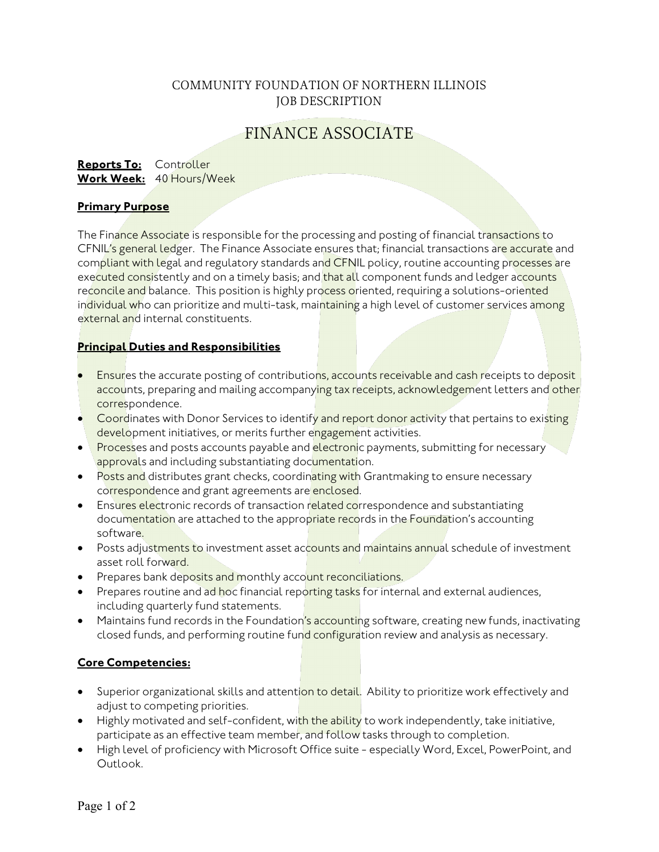## COMMUNITY FOUNDATION OF NORTHERN ILLINOIS JOB DESCRIPTION

# FINANCE ASSOCIATE

#### **Reports To:** Controller **Work Week:** 40 Hours/Week

## **Primary Purpose**

The Finance Associate is responsible for the processing and posting of financial transactions to CFNIL's general ledger. The Finance Associate ensures that; financial transactions are accurate and compliant with legal and regulatory standards and CFNIL policy, routine accounting processes are executed consistently and on a timely basis; and that all component funds and ledger accounts reconcile and balance. This position is highly process oriented, requiring a solutions-oriented individual who can prioritize and multi-task, maintaining a high level of customer services among external and internal constituents.

## **Principal Duties and Responsibilities**

- Ensures the accurate posting of contributions, accounts receivable and cash receipts to deposit accounts, preparing and mailing accompanying tax receipts, acknowledgement letters and other correspondence.
- Coordinates with Donor Services to identify and report donor activity that pertains to existing development initiatives, or merits further engagement activities.
- Processes and posts accounts payable and electronic payments, submitting for necessary approvals and including substantiating documentation.
- Posts and distributes grant checks, coordinating with Grantmaking to ensure necessary correspondence and grant agreements are enclosed.
- Ensures electronic records of transaction related correspondence and substantiating documentation are attached to the appropriate records in the Foundation's accounting software.
- Posts adjustments to investment asset accounts and maintains annual schedule of investment asset roll forward.
- Prepares bank deposits and monthly account reconciliations.
- Prepares routine and ad hoc financial reporting tasks for internal and external audiences, including quarterly fund statements.
- Maintains fund records in the Foundation's accounting software, creating new funds, inactivating closed funds, and performing routine fund configuration review and analysis as necessary.

## **Core Competencies:**

- Superior organizational skills and attention to detail. Ability to prioritize work effectively and adjust to competing priorities.
- Highly motivated and self-confident, with the ability to work independently, take initiative, participate as an effective team member, and follow tasks through to completion.
- High level of proficiency with Microsoft Office suite especially Word, Excel, PowerPoint, and Outlook.